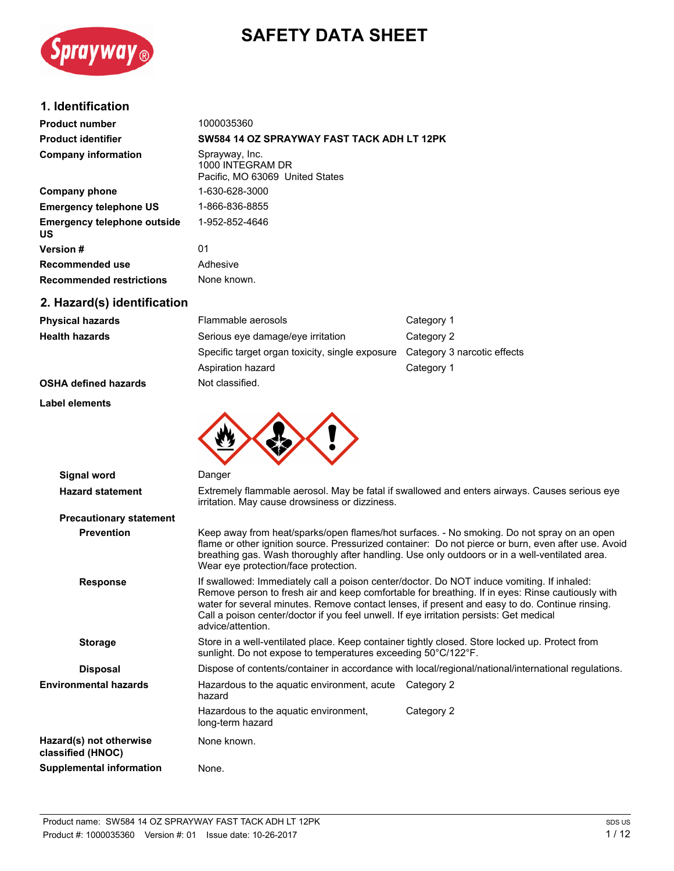# **SAFETY DATA SHEET**



## **1. Identification**

| <b>Product number</b>                           | 1000035360                                                            |
|-------------------------------------------------|-----------------------------------------------------------------------|
| <b>Product identifier</b>                       | SW584 14 OZ SPRAYWAY FAST TACK ADH LT 12PK                            |
| <b>Company information</b>                      | Sprayway, Inc.<br>1000 INTEGRAM DR<br>Pacific. MO 63069 United States |
| <b>Company phone</b>                            | 1-630-628-3000                                                        |
| <b>Emergency telephone US</b>                   | 1-866-836-8855                                                        |
| <b>Emergency telephone outside</b><br><b>US</b> | 1-952-852-4646                                                        |
| <b>Version#</b>                                 | 01                                                                    |
| Recommended use                                 | Adhesive                                                              |
| <b>Recommended restrictions</b>                 | None known.                                                           |
| 2. Hazard(s) identification                     |                                                                       |

| <b>Physical hazards</b>     | Flammable aerosols                              | Category 1                  |
|-----------------------------|-------------------------------------------------|-----------------------------|
| <b>Health hazards</b>       | Serious eye damage/eye irritation               | Category 2                  |
|                             | Specific target organ toxicity, single exposure | Category 3 narcotic effects |
|                             | Aspiration hazard                               | Category 1                  |
| <b>OSHA defined hazards</b> | Not classified.                                 |                             |

#### **Label elements**



| Signal word                                  | Danger                                                                                                                                                                                                                                                                                                                                                                                                           |
|----------------------------------------------|------------------------------------------------------------------------------------------------------------------------------------------------------------------------------------------------------------------------------------------------------------------------------------------------------------------------------------------------------------------------------------------------------------------|
| <b>Hazard statement</b>                      | Extremely flammable aerosol. May be fatal if swallowed and enters airways. Causes serious eye<br>irritation. May cause drowsiness or dizziness.                                                                                                                                                                                                                                                                  |
| <b>Precautionary statement</b>               |                                                                                                                                                                                                                                                                                                                                                                                                                  |
| <b>Prevention</b>                            | Keep away from heat/sparks/open flames/hot surfaces. - No smoking. Do not spray on an open<br>flame or other ignition source. Pressurized container: Do not pierce or burn, even after use. Avoid<br>breathing gas. Wash thoroughly after handling. Use only outdoors or in a well-ventilated area.<br>Wear eye protection/face protection.                                                                      |
| <b>Response</b>                              | If swallowed: Immediately call a poison center/doctor. Do NOT induce vomiting. If inhaled:<br>Remove person to fresh air and keep comfortable for breathing. If in eyes: Rinse cautiously with<br>water for several minutes. Remove contact lenses, if present and easy to do. Continue rinsing.<br>Call a poison center/doctor if you feel unwell. If eye irritation persists: Get medical<br>advice/attention. |
| <b>Storage</b>                               | Store in a well-ventilated place. Keep container tightly closed. Store locked up. Protect from<br>sunlight. Do not expose to temperatures exceeding 50°C/122°F.                                                                                                                                                                                                                                                  |
| <b>Disposal</b>                              | Dispose of contents/container in accordance with local/regional/national/international regulations.                                                                                                                                                                                                                                                                                                              |
| <b>Environmental hazards</b>                 | Hazardous to the aquatic environment, acute Category 2<br>hazard                                                                                                                                                                                                                                                                                                                                                 |
|                                              | Hazardous to the aquatic environment,<br>Category 2<br>long-term hazard                                                                                                                                                                                                                                                                                                                                          |
| Hazard(s) not otherwise<br>classified (HNOC) | None known.                                                                                                                                                                                                                                                                                                                                                                                                      |
| <b>Supplemental information</b>              | None.                                                                                                                                                                                                                                                                                                                                                                                                            |
|                                              |                                                                                                                                                                                                                                                                                                                                                                                                                  |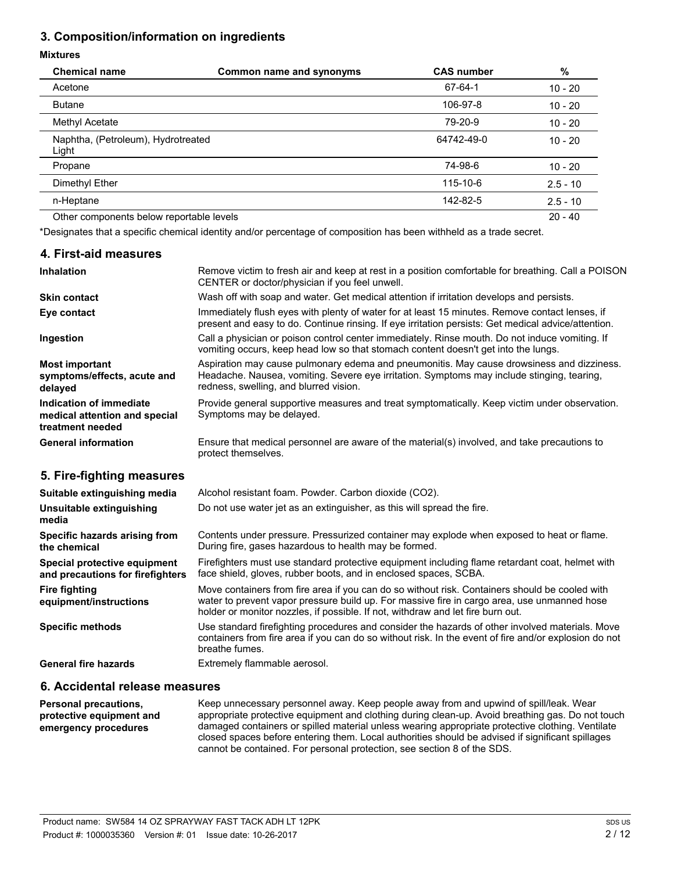## **3. Composition/information on ingredients**

#### **Mixtures**

| <b>Chemical name</b>                        | Common name and synonyms | <b>CAS number</b> | $\%$       |
|---------------------------------------------|--------------------------|-------------------|------------|
| Acetone                                     |                          | 67-64-1           | $10 - 20$  |
| <b>Butane</b>                               |                          | 106-97-8          | $10 - 20$  |
| Methyl Acetate                              |                          | 79-20-9           | $10 - 20$  |
| Naphtha, (Petroleum), Hydrotreated<br>Light |                          | 64742-49-0        | $10 - 20$  |
| Propane                                     |                          | 74-98-6           | $10 - 20$  |
| Dimethyl Ether                              |                          | 115-10-6          | $2.5 - 10$ |
| n-Heptane                                   |                          | 142-82-5          | $2.5 - 10$ |
| Other components below reportable levels    |                          |                   | $20 - 40$  |

\*Designates that a specific chemical identity and/or percentage of composition has been withheld as a trade secret.

| 4. First-aid measures                                                        |                                                                                                                                                                                                                                   |
|------------------------------------------------------------------------------|-----------------------------------------------------------------------------------------------------------------------------------------------------------------------------------------------------------------------------------|
| <b>Inhalation</b>                                                            | Remove victim to fresh air and keep at rest in a position comfortable for breathing. Call a POISON<br>CENTER or doctor/physician if you feel unwell.                                                                              |
| Skin contact                                                                 | Wash off with soap and water. Get medical attention if irritation develops and persists.                                                                                                                                          |
| Eye contact                                                                  | Immediately flush eyes with plenty of water for at least 15 minutes. Remove contact lenses, if<br>present and easy to do. Continue rinsing. If eye irritation persists: Get medical advice/attention.                             |
| Ingestion                                                                    | Call a physician or poison control center immediately. Rinse mouth. Do not induce vomiting. If<br>vomiting occurs, keep head low so that stomach content doesn't get into the lungs.                                              |
| <b>Most important</b><br>symptoms/effects, acute and<br>delayed              | Aspiration may cause pulmonary edema and pneumonitis. May cause drowsiness and dizziness.<br>Headache. Nausea, vomiting. Severe eye irritation. Symptoms may include stinging, tearing,<br>redness, swelling, and blurred vision. |
| Indication of immediate<br>medical attention and special<br>treatment needed | Provide general supportive measures and treat symptomatically. Keep victim under observation.<br>Symptoms may be delayed.                                                                                                         |
| <b>General information</b>                                                   | Ensure that medical personnel are aware of the material(s) involved, and take precautions to<br>protect themselves.                                                                                                               |
| 5. Fire-fighting measures                                                    |                                                                                                                                                                                                                                   |
|                                                                              |                                                                                                                                                                                                                                   |

| Suitable extinguishing media                                     | Alcohol resistant foam. Powder. Carbon dioxide (CO2).                                                                                                                                                                                                                            |
|------------------------------------------------------------------|----------------------------------------------------------------------------------------------------------------------------------------------------------------------------------------------------------------------------------------------------------------------------------|
| Unsuitable extinguishing<br>media                                | Do not use water jet as an extinguisher, as this will spread the fire.                                                                                                                                                                                                           |
| Specific hazards arising from<br>the chemical                    | Contents under pressure. Pressurized container may explode when exposed to heat or flame.<br>During fire, gases hazardous to health may be formed.                                                                                                                               |
| Special protective equipment<br>and precautions for firefighters | Firefighters must use standard protective equipment including flame retardant coat, helmet with<br>face shield, gloves, rubber boots, and in enclosed spaces, SCBA.                                                                                                              |
| <b>Fire fighting</b><br>equipment/instructions                   | Move containers from fire area if you can do so without risk. Containers should be cooled with<br>water to prevent vapor pressure build up. For massive fire in cargo area, use unmanned hose<br>holder or monitor nozzles, if possible. If not, withdraw and let fire burn out. |
| <b>Specific methods</b>                                          | Use standard firefighting procedures and consider the hazards of other involved materials. Move<br>containers from fire area if you can do so without risk. In the event of fire and/or explosion do not<br>breathe fumes.                                                       |
| <b>General fire hazards</b>                                      | Extremely flammable aerosol.                                                                                                                                                                                                                                                     |

#### **6. Accidental release measures**

Keep unnecessary personnel away. Keep people away from and upwind of spill/leak. Wear appropriate protective equipment and clothing during clean-up. Avoid breathing gas. Do not touch damaged containers or spilled material unless wearing appropriate protective clothing. Ventilate closed spaces before entering them. Local authorities should be advised if significant spillages cannot be contained. For personal protection, see section 8 of the SDS. **Personal precautions, protective equipment and emergency procedures**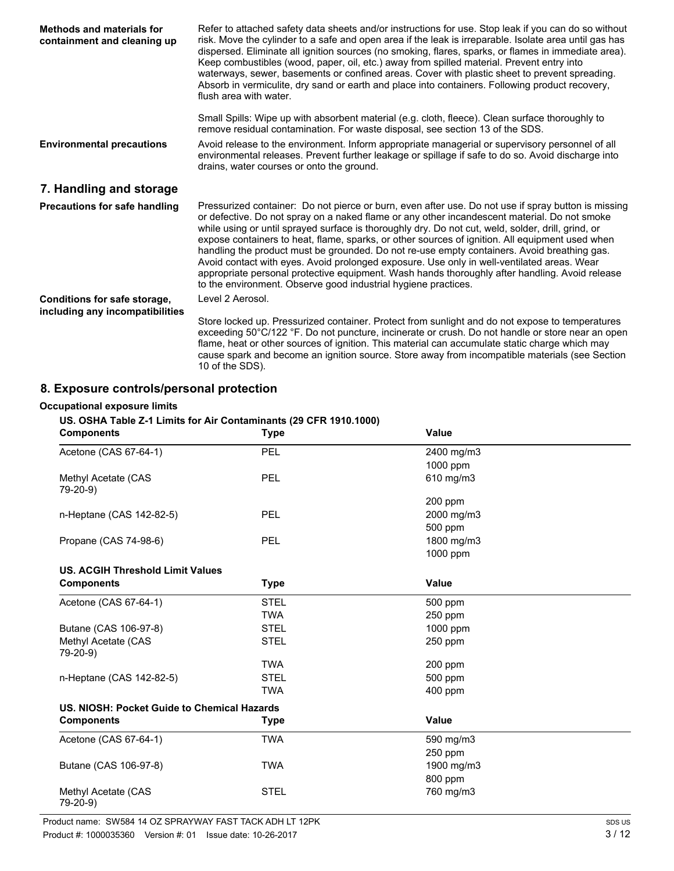| <b>Methods and materials for</b><br>containment and cleaning up | Refer to attached safety data sheets and/or instructions for use. Stop leak if you can do so without<br>risk. Move the cylinder to a safe and open area if the leak is irreparable. Isolate area until gas has<br>dispersed. Eliminate all ignition sources (no smoking, flares, sparks, or flames in immediate area).<br>Keep combustibles (wood, paper, oil, etc.) away from spilled material. Prevent entry into<br>waterways, sewer, basements or confined areas. Cover with plastic sheet to prevent spreading.<br>Absorb in vermiculite, dry sand or earth and place into containers. Following product recovery,<br>flush area with water.                                                                                                                             |
|-----------------------------------------------------------------|-------------------------------------------------------------------------------------------------------------------------------------------------------------------------------------------------------------------------------------------------------------------------------------------------------------------------------------------------------------------------------------------------------------------------------------------------------------------------------------------------------------------------------------------------------------------------------------------------------------------------------------------------------------------------------------------------------------------------------------------------------------------------------|
|                                                                 | Small Spills: Wipe up with absorbent material (e.g. cloth, fleece). Clean surface thoroughly to<br>remove residual contamination. For waste disposal, see section 13 of the SDS.                                                                                                                                                                                                                                                                                                                                                                                                                                                                                                                                                                                              |
| <b>Environmental precautions</b>                                | Avoid release to the environment. Inform appropriate managerial or supervisory personnel of all<br>environmental releases. Prevent further leakage or spillage if safe to do so. Avoid discharge into<br>drains, water courses or onto the ground.                                                                                                                                                                                                                                                                                                                                                                                                                                                                                                                            |
| 7. Handling and storage                                         |                                                                                                                                                                                                                                                                                                                                                                                                                                                                                                                                                                                                                                                                                                                                                                               |
| <b>Precautions for safe handling</b>                            | Pressurized container: Do not pierce or burn, even after use. Do not use if spray button is missing<br>or defective. Do not spray on a naked flame or any other incandescent material. Do not smoke<br>while using or until sprayed surface is thoroughly dry. Do not cut, weld, solder, drill, grind, or<br>expose containers to heat, flame, sparks, or other sources of ignition. All equipment used when<br>handling the product must be grounded. Do not re-use empty containers. Avoid breathing gas.<br>Avoid contact with eyes. Avoid prolonged exposure. Use only in well-ventilated areas. Wear<br>appropriate personal protective equipment. Wash hands thoroughly after handling. Avoid release<br>to the environment. Observe good industrial hygiene practices. |
| Conditions for safe storage,<br>including any incompatibilities | Level 2 Aerosol.                                                                                                                                                                                                                                                                                                                                                                                                                                                                                                                                                                                                                                                                                                                                                              |
|                                                                 | Store locked up. Pressurized container. Protect from sunlight and do not expose to temperatures<br>exceeding 50°C/122 °F. Do not puncture, incinerate or crush. Do not handle or store near an open<br>flame, heat or other sources of ignition. This material can accumulate static charge which may<br>cause spark and become an ignition source. Store away from incompatible materials (see Section<br>10 of the SDS).                                                                                                                                                                                                                                                                                                                                                    |

# **8. Exposure controls/personal protection**

#### **Occupational exposure limits**

**US. OSHA Table Z-1 Limits for Air Contaminants (29 CFR 1910.1000)**

| <b>Components</b>                           | <b>Type</b> | <b>Value</b> |  |
|---------------------------------------------|-------------|--------------|--|
| Acetone (CAS 67-64-1)                       | PEL         | 2400 mg/m3   |  |
|                                             |             | 1000 ppm     |  |
| Methyl Acetate (CAS<br>79-20-9)             | PEL         | 610 mg/m3    |  |
|                                             |             | 200 ppm      |  |
| n-Heptane (CAS 142-82-5)                    | PEL         | 2000 mg/m3   |  |
|                                             |             | 500 ppm      |  |
| Propane (CAS 74-98-6)                       | <b>PEL</b>  | 1800 mg/m3   |  |
|                                             |             | 1000 ppm     |  |
| <b>US. ACGIH Threshold Limit Values</b>     |             |              |  |
| <b>Components</b>                           | <b>Type</b> | <b>Value</b> |  |
| Acetone (CAS 67-64-1)                       | <b>STEL</b> | 500 ppm      |  |
|                                             | <b>TWA</b>  | 250 ppm      |  |
| Butane (CAS 106-97-8)                       | <b>STEL</b> | 1000 ppm     |  |
| Methyl Acetate (CAS<br>79-20-9)             | <b>STEL</b> | 250 ppm      |  |
|                                             | <b>TWA</b>  | 200 ppm      |  |
| n-Heptane (CAS 142-82-5)                    | <b>STEL</b> | 500 ppm      |  |
|                                             | <b>TWA</b>  | 400 ppm      |  |
| US. NIOSH: Pocket Guide to Chemical Hazards |             |              |  |
| <b>Components</b>                           | <b>Type</b> | Value        |  |
| Acetone (CAS 67-64-1)                       | <b>TWA</b>  | 590 mg/m3    |  |
|                                             |             | 250 ppm      |  |
| Butane (CAS 106-97-8)                       | <b>TWA</b>  | 1900 mg/m3   |  |
|                                             |             | 800 ppm      |  |
| Methyl Acetate (CAS<br>79-20-9)             | <b>STEL</b> | 760 mg/m3    |  |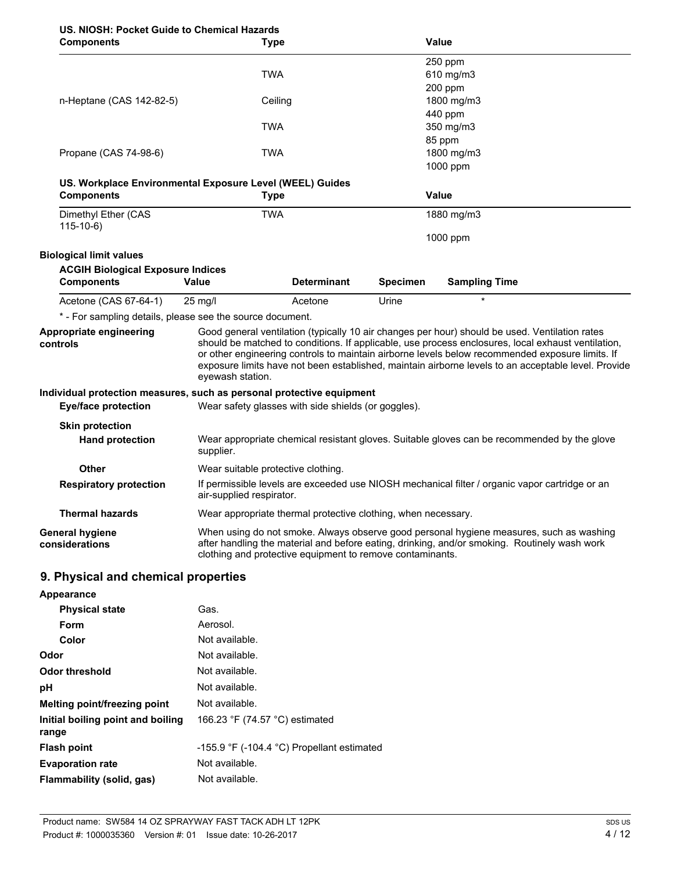| US. NIOSH: Pocket Guide to Chemical Hazards                           |                          |                                                               |                 |                                                                                                                                                                                                                                                                                                                                                                                                                |  |
|-----------------------------------------------------------------------|--------------------------|---------------------------------------------------------------|-----------------|----------------------------------------------------------------------------------------------------------------------------------------------------------------------------------------------------------------------------------------------------------------------------------------------------------------------------------------------------------------------------------------------------------------|--|
| <b>Components</b>                                                     |                          | Type                                                          |                 | Value                                                                                                                                                                                                                                                                                                                                                                                                          |  |
|                                                                       |                          |                                                               |                 | 250 ppm                                                                                                                                                                                                                                                                                                                                                                                                        |  |
|                                                                       |                          | TWA                                                           |                 | 610 mg/m3                                                                                                                                                                                                                                                                                                                                                                                                      |  |
|                                                                       |                          |                                                               |                 | 200 ppm                                                                                                                                                                                                                                                                                                                                                                                                        |  |
| n-Heptane (CAS 142-82-5)                                              |                          | Ceiling                                                       |                 | 1800 mg/m3                                                                                                                                                                                                                                                                                                                                                                                                     |  |
|                                                                       |                          |                                                               |                 | 440 ppm                                                                                                                                                                                                                                                                                                                                                                                                        |  |
|                                                                       |                          | TWA                                                           |                 | 350 mg/m3                                                                                                                                                                                                                                                                                                                                                                                                      |  |
|                                                                       |                          |                                                               |                 | 85 ppm                                                                                                                                                                                                                                                                                                                                                                                                         |  |
| Propane (CAS 74-98-6)                                                 |                          | TWA                                                           |                 | 1800 mg/m3<br>1000 ppm                                                                                                                                                                                                                                                                                                                                                                                         |  |
|                                                                       |                          |                                                               |                 |                                                                                                                                                                                                                                                                                                                                                                                                                |  |
| US. Workplace Environmental Exposure Level (WEEL) Guides              |                          |                                                               |                 | <b>Value</b>                                                                                                                                                                                                                                                                                                                                                                                                   |  |
| <b>Components</b>                                                     |                          | Type                                                          |                 |                                                                                                                                                                                                                                                                                                                                                                                                                |  |
| Dimethyl Ether (CAS<br>$115-10-6)$                                    |                          | <b>TWA</b>                                                    |                 | 1880 mg/m3                                                                                                                                                                                                                                                                                                                                                                                                     |  |
|                                                                       |                          |                                                               |                 | 1000 ppm                                                                                                                                                                                                                                                                                                                                                                                                       |  |
| <b>Biological limit values</b>                                        |                          |                                                               |                 |                                                                                                                                                                                                                                                                                                                                                                                                                |  |
| <b>ACGIH Biological Exposure Indices</b>                              |                          |                                                               |                 |                                                                                                                                                                                                                                                                                                                                                                                                                |  |
| <b>Components</b>                                                     | <b>Value</b>             | <b>Determinant</b>                                            | <b>Specimen</b> | <b>Sampling Time</b>                                                                                                                                                                                                                                                                                                                                                                                           |  |
| Acetone (CAS 67-64-1)                                                 | $25 \text{ mg/l}$        | Acetone                                                       | Urine           |                                                                                                                                                                                                                                                                                                                                                                                                                |  |
| * - For sampling details, please see the source document.             |                          |                                                               |                 |                                                                                                                                                                                                                                                                                                                                                                                                                |  |
| <b>Appropriate engineering</b><br>controls                            | eyewash station.         |                                                               |                 | Good general ventilation (typically 10 air changes per hour) should be used. Ventilation rates<br>should be matched to conditions. If applicable, use process enclosures, local exhaust ventilation,<br>or other engineering controls to maintain airborne levels below recommended exposure limits. If<br>exposure limits have not been established, maintain airborne levels to an acceptable level. Provide |  |
| Individual protection measures, such as personal protective equipment |                          |                                                               |                 |                                                                                                                                                                                                                                                                                                                                                                                                                |  |
| <b>Eye/face protection</b>                                            |                          | Wear safety glasses with side shields (or goggles).           |                 |                                                                                                                                                                                                                                                                                                                                                                                                                |  |
| <b>Skin protection</b>                                                |                          |                                                               |                 |                                                                                                                                                                                                                                                                                                                                                                                                                |  |
| <b>Hand protection</b>                                                | supplier.                |                                                               |                 | Wear appropriate chemical resistant gloves. Suitable gloves can be recommended by the glove                                                                                                                                                                                                                                                                                                                    |  |
| Other                                                                 |                          | Wear suitable protective clothing.                            |                 |                                                                                                                                                                                                                                                                                                                                                                                                                |  |
| <b>Respiratory protection</b>                                         | air-supplied respirator. |                                                               |                 | If permissible levels are exceeded use NIOSH mechanical filter / organic vapor cartridge or an                                                                                                                                                                                                                                                                                                                 |  |
| <b>Thermal hazards</b>                                                |                          | Wear appropriate thermal protective clothing, when necessary. |                 |                                                                                                                                                                                                                                                                                                                                                                                                                |  |
| <b>General hygiene</b><br>considerations                              |                          | clothing and protective equipment to remove contaminants.     |                 | When using do not smoke. Always observe good personal hygiene measures, such as washing<br>after handling the material and before eating, drinking, and/or smoking. Routinely wash work                                                                                                                                                                                                                        |  |
| 9. Physical and chemical properties                                   |                          |                                                               |                 |                                                                                                                                                                                                                                                                                                                                                                                                                |  |

| Appearance                                 |                                              |
|--------------------------------------------|----------------------------------------------|
| <b>Physical state</b>                      | Gas.                                         |
| Form                                       | Aerosol.                                     |
| Color                                      | Not available.                               |
| Odor                                       | Not available.                               |
| Odor threshold                             | Not available.                               |
| рH                                         | Not available.                               |
| Melting point/freezing point               | Not available.                               |
| Initial boiling point and boiling<br>range | 166.23 °F (74.57 °C) estimated               |
| <b>Flash point</b>                         | $-155.9$ °F (-104.4 °C) Propellant estimated |
| <b>Evaporation rate</b>                    | Not available.                               |
| Flammability (solid, gas)                  | Not available.                               |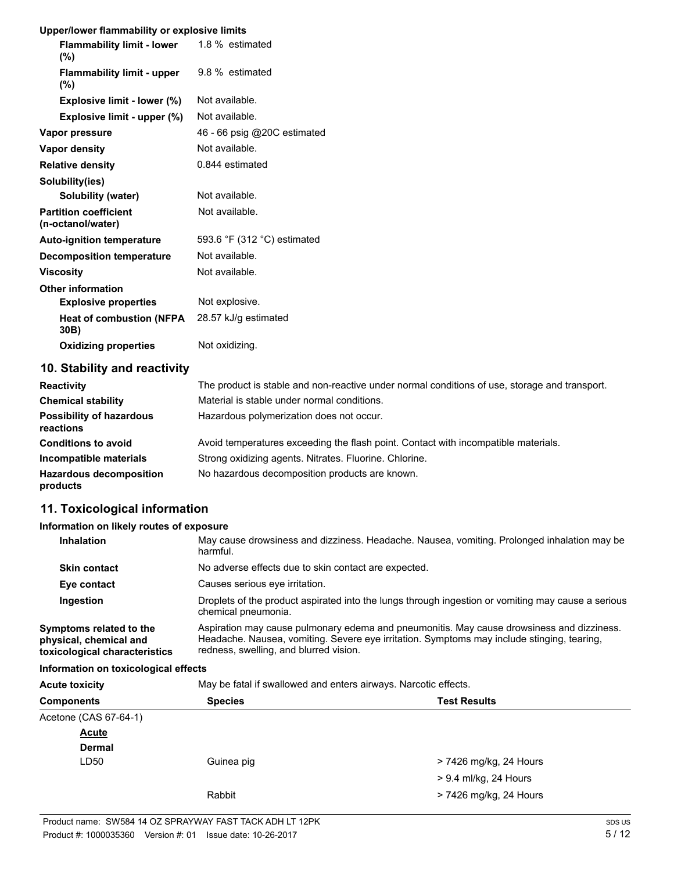#### **Upper/lower flammability or explosive limits**

| <b>Flammability limit - lower</b> 1.8 % estimated<br>$(\%)$ |                             |
|-------------------------------------------------------------|-----------------------------|
| <b>Flammability limit - upper</b><br>$(\%)$                 | 9.8 % estimated             |
| Explosive limit - lower (%)                                 | Not available.              |
| Explosive limit - upper (%)                                 | Not available.              |
| Vapor pressure                                              | 46 - 66 psig @20C estimated |
| Vapor density                                               | Not available.              |
| <b>Relative density</b>                                     | 0.844 estimated             |
| Solubility(ies)                                             |                             |
| Solubility (water)                                          | Not available.              |
| <b>Partition coefficient</b><br>(n-octanol/water)           | Not available.              |
| <b>Auto-ignition temperature</b>                            | 593.6 °F (312 °C) estimated |
| <b>Decomposition temperature</b>                            | Not available.              |
| <b>Viscosity</b>                                            | Not available.              |
| <b>Other information</b>                                    |                             |
| <b>Explosive properties</b>                                 | Not explosive.              |
| <b>Heat of combustion (NFPA</b><br>30B)                     | 28.57 kJ/g estimated        |
| <b>Oxidizing properties</b>                                 | Not oxidizing.              |

## **10. Stability and reactivity**

| <b>Reactivity</b>                            | The product is stable and non-reactive under normal conditions of use, storage and transport. |
|----------------------------------------------|-----------------------------------------------------------------------------------------------|
| <b>Chemical stability</b>                    | Material is stable under normal conditions.                                                   |
| <b>Possibility of hazardous</b><br>reactions | Hazardous polymerization does not occur.                                                      |
| <b>Conditions to avoid</b>                   | Avoid temperatures exceeding the flash point. Contact with incompatible materials.            |
| Incompatible materials                       | Strong oxidizing agents. Nitrates. Fluorine. Chlorine.                                        |
| <b>Hazardous decomposition</b><br>products   | No hazardous decomposition products are known.                                                |

# **11. Toxicological information**

#### **Information on likely routes of exposure**

| <b>Inhalation</b>                                                                  | May cause drowsiness and dizziness. Headache. Nausea, vomiting. Prolonged inhalation may be<br>harmful.                                                                                                                           |
|------------------------------------------------------------------------------------|-----------------------------------------------------------------------------------------------------------------------------------------------------------------------------------------------------------------------------------|
| <b>Skin contact</b>                                                                | No adverse effects due to skin contact are expected.                                                                                                                                                                              |
| Eye contact                                                                        | Causes serious eye irritation.                                                                                                                                                                                                    |
| Ingestion                                                                          | Droplets of the product aspirated into the lungs through ingestion or vomiting may cause a serious<br>chemical pneumonia.                                                                                                         |
| Symptoms related to the<br>physical, chemical and<br>toxicological characteristics | Aspiration may cause pulmonary edema and pneumonitis. May cause drowsiness and dizziness.<br>Headache. Nausea, vomiting. Severe eye irritation. Symptoms may include stinging, tearing,<br>redness, swelling, and blurred vision. |
| Information on toxicological effects                                               |                                                                                                                                                                                                                                   |

Acute toxicity **May be fatal if swallowed and enters airways. Narcotic effects.** 

| <b>Components</b>     | <b>Species</b> | <b>Test Results</b>    |
|-----------------------|----------------|------------------------|
| Acetone (CAS 67-64-1) |                |                        |
| <b>Acute</b>          |                |                        |
| <b>Dermal</b>         |                |                        |
| LD50                  | Guinea pig     | > 7426 mg/kg, 24 Hours |
|                       |                | > 9.4 ml/kg, 24 Hours  |
|                       | Rabbit         | > 7426 mg/kg, 24 Hours |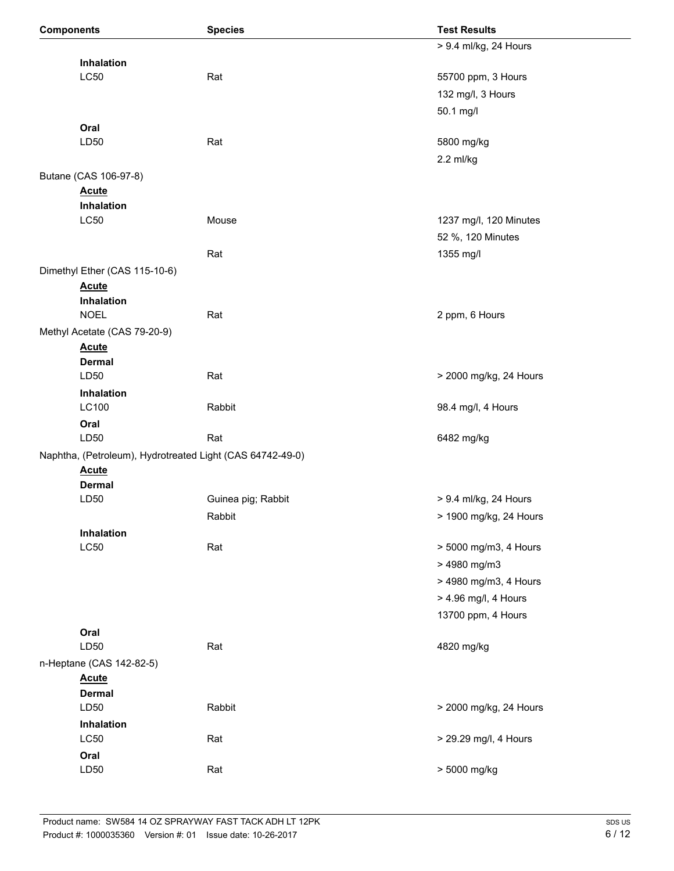| <b>Components</b> |                                                           | <b>Species</b>     | <b>Test Results</b>    |
|-------------------|-----------------------------------------------------------|--------------------|------------------------|
|                   |                                                           |                    | > 9.4 ml/kg, 24 Hours  |
|                   | Inhalation                                                |                    |                        |
|                   | <b>LC50</b>                                               | Rat                | 55700 ppm, 3 Hours     |
|                   |                                                           |                    | 132 mg/l, 3 Hours      |
|                   |                                                           |                    | 50.1 mg/l              |
|                   | Oral                                                      |                    |                        |
|                   | LD50                                                      | Rat                | 5800 mg/kg             |
|                   |                                                           |                    | 2.2 ml/kg              |
|                   | Butane (CAS 106-97-8)                                     |                    |                        |
|                   | <b>Acute</b>                                              |                    |                        |
|                   | Inhalation                                                |                    |                        |
|                   | L <sub>C</sub> 50                                         | Mouse              | 1237 mg/l, 120 Minutes |
|                   |                                                           |                    | 52 %, 120 Minutes      |
|                   |                                                           | Rat                | 1355 mg/l              |
|                   | Dimethyl Ether (CAS 115-10-6)                             |                    |                        |
|                   | <b>Acute</b>                                              |                    |                        |
|                   | Inhalation                                                |                    |                        |
|                   | <b>NOEL</b>                                               | Rat                | 2 ppm, 6 Hours         |
|                   | Methyl Acetate (CAS 79-20-9)                              |                    |                        |
|                   | <b>Acute</b><br><b>Dermal</b>                             |                    |                        |
|                   | LD50                                                      | Rat                | > 2000 mg/kg, 24 Hours |
|                   | Inhalation                                                |                    |                        |
|                   | LC100                                                     | Rabbit             | 98.4 mg/l, 4 Hours     |
|                   | Oral                                                      |                    |                        |
|                   | LD50                                                      | Rat                | 6482 mg/kg             |
|                   | Naphtha, (Petroleum), Hydrotreated Light (CAS 64742-49-0) |                    |                        |
|                   | <b>Acute</b>                                              |                    |                        |
|                   | <b>Dermal</b>                                             |                    |                        |
|                   | LD50                                                      | Guinea pig; Rabbit | > 9.4 ml/kg, 24 Hours  |
|                   |                                                           | Rabbit             | > 1900 mg/kg, 24 Hours |
|                   | Inhalation                                                |                    |                        |
|                   | <b>LC50</b>                                               | Rat                | > 5000 mg/m3, 4 Hours  |
|                   |                                                           |                    | > 4980 mg/m3           |
|                   |                                                           |                    | > 4980 mg/m3, 4 Hours  |
|                   |                                                           |                    | > 4.96 mg/l, 4 Hours   |
|                   |                                                           |                    | 13700 ppm, 4 Hours     |
|                   | Oral                                                      |                    |                        |
|                   | LD50                                                      | Rat                | 4820 mg/kg             |
|                   | n-Heptane (CAS 142-82-5)                                  |                    |                        |
|                   | <b>Acute</b>                                              |                    |                        |
|                   | <b>Dermal</b>                                             |                    |                        |
|                   | LD50                                                      | Rabbit             | > 2000 mg/kg, 24 Hours |
|                   | Inhalation                                                |                    |                        |
|                   | <b>LC50</b>                                               | Rat                | > 29.29 mg/l, 4 Hours  |
|                   | Oral                                                      |                    |                        |
|                   | LD50                                                      | Rat                | > 5000 mg/kg           |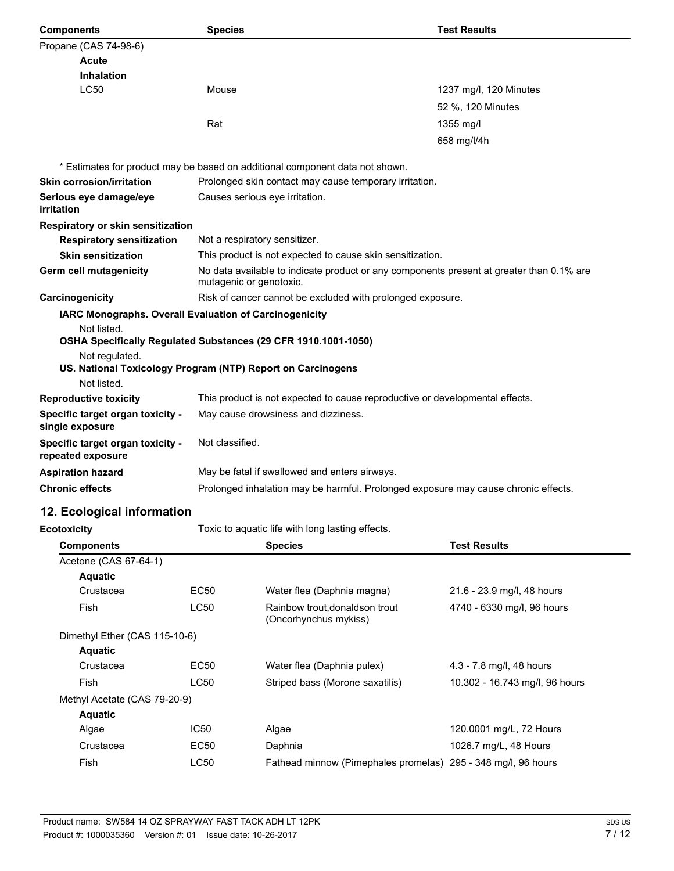| <b>Components</b>                                     | <b>Species</b>                                                                                                      | <b>Test Results</b>    |
|-------------------------------------------------------|---------------------------------------------------------------------------------------------------------------------|------------------------|
| Propane (CAS 74-98-6)                                 |                                                                                                                     |                        |
| Acute                                                 |                                                                                                                     |                        |
| <b>Inhalation</b>                                     |                                                                                                                     |                        |
| <b>LC50</b>                                           | Mouse                                                                                                               | 1237 mg/l, 120 Minutes |
|                                                       |                                                                                                                     | 52 %, 120 Minutes      |
|                                                       | Rat                                                                                                                 | $1355 \text{ mg/l}$    |
|                                                       |                                                                                                                     | 658 mg/l/4h            |
|                                                       | * Estimates for product may be based on additional component data not shown.                                        |                        |
| <b>Skin corrosion/irritation</b>                      | Prolonged skin contact may cause temporary irritation.                                                              |                        |
| Serious eye damage/eye<br>irritation                  | Causes serious eye irritation.                                                                                      |                        |
| Respiratory or skin sensitization                     |                                                                                                                     |                        |
| <b>Respiratory sensitization</b>                      | Not a respiratory sensitizer.                                                                                       |                        |
| <b>Skin sensitization</b>                             | This product is not expected to cause skin sensitization.                                                           |                        |
| <b>Germ cell mutagenicity</b>                         | No data available to indicate product or any components present at greater than 0.1% are<br>mutagenic or genotoxic. |                        |
| Carcinogenicity                                       | Risk of cancer cannot be excluded with prolonged exposure.                                                          |                        |
|                                                       | IARC Monographs. Overall Evaluation of Carcinogenicity                                                              |                        |
| Not listed.                                           |                                                                                                                     |                        |
|                                                       | OSHA Specifically Regulated Substances (29 CFR 1910.1001-1050)                                                      |                        |
| Not regulated.                                        | US. National Toxicology Program (NTP) Report on Carcinogens                                                         |                        |
| Not listed.                                           |                                                                                                                     |                        |
| <b>Reproductive toxicity</b>                          | This product is not expected to cause reproductive or developmental effects.                                        |                        |
| Specific target organ toxicity -<br>single exposure   | May cause drowsiness and dizziness.                                                                                 |                        |
| Specific target organ toxicity -<br>repeated exposure | Not classified.                                                                                                     |                        |
| <b>Aspiration hazard</b>                              | May be fatal if swallowed and enters airways.                                                                       |                        |
| <b>Chronic effects</b>                                | Prolonged inhalation may be harmful. Prolonged exposure may cause chronic effects.                                  |                        |
| 12. Ecological information                            |                                                                                                                     |                        |
| <b>Ecotoxicity</b>                                    | Toxic to aquatic life with long lasting effects.                                                                    |                        |
| <b>Components</b>                                     | <b>Species</b>                                                                                                      | <b>Test Results</b>    |
| Acetone (CAS 67-64-1)                                 |                                                                                                                     |                        |

| Acetone (CAS 67-64-1)         |             |                                                               |                                |
|-------------------------------|-------------|---------------------------------------------------------------|--------------------------------|
| <b>Aquatic</b>                |             |                                                               |                                |
| Crustacea                     | EC50        | Water flea (Daphnia magna)                                    | 21.6 - 23.9 mg/l, 48 hours     |
| Fish                          | <b>LC50</b> | Rainbow trout, donaldson trout<br>(Oncorhynchus mykiss)       | 4740 - 6330 mg/l, 96 hours     |
| Dimethyl Ether (CAS 115-10-6) |             |                                                               |                                |
| <b>Aquatic</b>                |             |                                                               |                                |
| Crustacea                     | <b>EC50</b> | Water flea (Daphnia pulex)                                    | 4.3 - 7.8 mg/l, 48 hours       |
| Fish                          | LC50        | Striped bass (Morone saxatilis)                               | 10.302 - 16.743 mg/l, 96 hours |
| Methyl Acetate (CAS 79-20-9)  |             |                                                               |                                |
| <b>Aquatic</b>                |             |                                                               |                                |
| Algae                         | IC50        | Algae                                                         | 120.0001 mg/L, 72 Hours        |
| Crustacea                     | EC50        | Daphnia                                                       | 1026.7 mg/L, 48 Hours          |
| Fish                          | <b>LC50</b> | Fathead minnow (Pimephales promelas) 295 - 348 mg/l, 96 hours |                                |
|                               |             |                                                               |                                |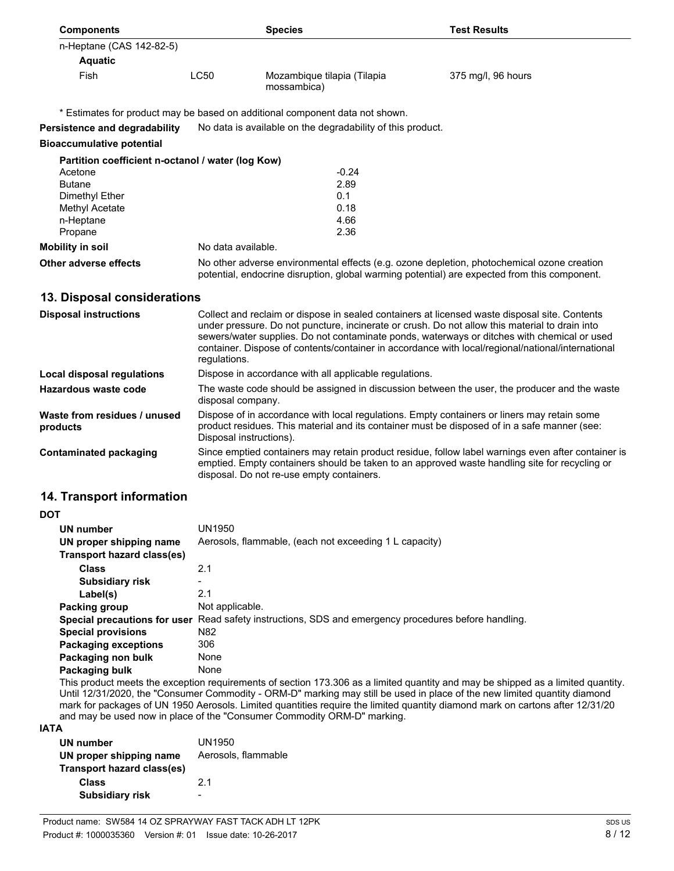| <b>Components</b>                                 |                                                                                                                                                                                                                                                                                                                                                                                                                     | <b>Species</b>                                                               | <b>Test Results</b>                                                                                                                                                                                 |
|---------------------------------------------------|---------------------------------------------------------------------------------------------------------------------------------------------------------------------------------------------------------------------------------------------------------------------------------------------------------------------------------------------------------------------------------------------------------------------|------------------------------------------------------------------------------|-----------------------------------------------------------------------------------------------------------------------------------------------------------------------------------------------------|
| n-Heptane (CAS 142-82-5)                          |                                                                                                                                                                                                                                                                                                                                                                                                                     |                                                                              |                                                                                                                                                                                                     |
| <b>Aquatic</b>                                    |                                                                                                                                                                                                                                                                                                                                                                                                                     |                                                                              |                                                                                                                                                                                                     |
| Fish                                              | <b>LC50</b>                                                                                                                                                                                                                                                                                                                                                                                                         | Mozambique tilapia (Tilapia<br>mossambica)                                   | 375 mg/l, 96 hours                                                                                                                                                                                  |
|                                                   |                                                                                                                                                                                                                                                                                                                                                                                                                     | * Estimates for product may be based on additional component data not shown. |                                                                                                                                                                                                     |
| Persistence and degradability                     |                                                                                                                                                                                                                                                                                                                                                                                                                     | No data is available on the degradability of this product.                   |                                                                                                                                                                                                     |
| <b>Bioaccumulative potential</b>                  |                                                                                                                                                                                                                                                                                                                                                                                                                     |                                                                              |                                                                                                                                                                                                     |
| Partition coefficient n-octanol / water (log Kow) |                                                                                                                                                                                                                                                                                                                                                                                                                     |                                                                              |                                                                                                                                                                                                     |
| Acetone                                           |                                                                                                                                                                                                                                                                                                                                                                                                                     | $-0.24$                                                                      |                                                                                                                                                                                                     |
| <b>Butane</b>                                     |                                                                                                                                                                                                                                                                                                                                                                                                                     | 2.89                                                                         |                                                                                                                                                                                                     |
| Dimethyl Ether                                    |                                                                                                                                                                                                                                                                                                                                                                                                                     | 0.1                                                                          |                                                                                                                                                                                                     |
| Methyl Acetate                                    |                                                                                                                                                                                                                                                                                                                                                                                                                     | 0.18                                                                         |                                                                                                                                                                                                     |
| n-Heptane                                         |                                                                                                                                                                                                                                                                                                                                                                                                                     | 4.66                                                                         |                                                                                                                                                                                                     |
| Propane                                           |                                                                                                                                                                                                                                                                                                                                                                                                                     | 2.36                                                                         |                                                                                                                                                                                                     |
| <b>Mobility in soil</b>                           | No data available.                                                                                                                                                                                                                                                                                                                                                                                                  |                                                                              |                                                                                                                                                                                                     |
| Other adverse effects                             |                                                                                                                                                                                                                                                                                                                                                                                                                     |                                                                              | No other adverse environmental effects (e.g. ozone depletion, photochemical ozone creation<br>potential, endocrine disruption, global warming potential) are expected from this component.          |
| 13. Disposal considerations                       |                                                                                                                                                                                                                                                                                                                                                                                                                     |                                                                              |                                                                                                                                                                                                     |
| <b>Disposal instructions</b>                      | Collect and reclaim or dispose in sealed containers at licensed waste disposal site. Contents<br>under pressure. Do not puncture, incinerate or crush. Do not allow this material to drain into<br>sewers/water supplies. Do not contaminate ponds, waterways or ditches with chemical or used<br>container. Dispose of contents/container in accordance with local/regional/national/international<br>regulations. |                                                                              |                                                                                                                                                                                                     |
| <b>Local disposal regulations</b>                 |                                                                                                                                                                                                                                                                                                                                                                                                                     | Dispose in accordance with all applicable regulations.                       |                                                                                                                                                                                                     |
| <b>Hazardous waste code</b>                       | disposal company.                                                                                                                                                                                                                                                                                                                                                                                                   |                                                                              | The waste code should be assigned in discussion between the user, the producer and the waste                                                                                                        |
| Waste from residues / unused<br>products          | Disposal instructions).                                                                                                                                                                                                                                                                                                                                                                                             |                                                                              | Dispose of in accordance with local regulations. Empty containers or liners may retain some<br>product residues. This material and its container must be disposed of in a safe manner (see:         |
| <b>Contaminated packaging</b>                     |                                                                                                                                                                                                                                                                                                                                                                                                                     | disposal. Do not re-use empty containers.                                    | Since emptied containers may retain product residue, follow label warnings even after container is<br>emptied. Empty containers should be taken to an approved waste handling site for recycling or |

## **14. Transport information**

| ٠<br>I<br>w<br>v |
|------------------|
|------------------|

| <b>UN number</b>             | UN1950                                                                  |
|------------------------------|-------------------------------------------------------------------------|
| UN proper shipping name      | Aerosols, flammable, (each not exceeding 1 L capacity)                  |
| Transport hazard class(es)   |                                                                         |
| <b>Class</b>                 | 2.1                                                                     |
| <b>Subsidiary risk</b>       | -                                                                       |
| Label(s)                     | 2.1                                                                     |
| Packing group                | Not applicable.                                                         |
| Special precautions for user | Read safety instructions, SDS and emergency procedures before handling. |
| <b>Special provisions</b>    | N82                                                                     |
| <b>Packaging exceptions</b>  | 306                                                                     |
| Packaging non bulk           | None                                                                    |
| Packaging bulk               | None                                                                    |

This product meets the exception requirements of section 173.306 as a limited quantity and may be shipped as a limited quantity. Until 12/31/2020, the "Consumer Commodity - ORM-D" marking may still be used in place of the new limited quantity diamond mark for packages of UN 1950 Aerosols. Limited quantities require the limited quantity diamond mark on cartons after 12/31/20 and may be used now in place of the "Consumer Commodity ORM-D" marking.

#### **IATA**

| UN1950<br>Aerosols, flammable |
|-------------------------------|
|                               |
| 21                            |
|                               |
|                               |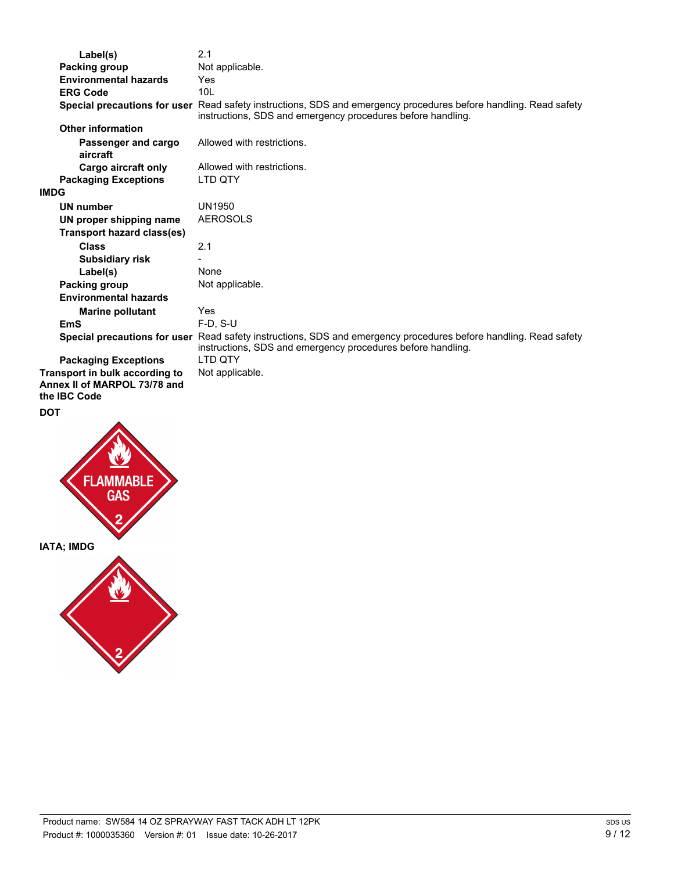| Label(s)                          | 2.1                                                                                                                                                                             |
|-----------------------------------|---------------------------------------------------------------------------------------------------------------------------------------------------------------------------------|
| Packing group                     | Not applicable.                                                                                                                                                                 |
| <b>Environmental hazards</b>      | Yes                                                                                                                                                                             |
| <b>ERG Code</b>                   | 10 <sub>L</sub>                                                                                                                                                                 |
|                                   | Special precautions for user Read safety instructions, SDS and emergency procedures before handling. Read safety<br>instructions, SDS and emergency procedures before handling. |
| <b>Other information</b>          |                                                                                                                                                                                 |
| Passenger and cargo<br>aircraft   | Allowed with restrictions.                                                                                                                                                      |
| Cargo aircraft only               | Allowed with restrictions.                                                                                                                                                      |
| <b>Packaging Exceptions</b>       | LTD QTY                                                                                                                                                                         |
| <b>IMDG</b>                       |                                                                                                                                                                                 |
| <b>UN number</b>                  | <b>UN1950</b>                                                                                                                                                                   |
| UN proper shipping name           | <b>AEROSOLS</b>                                                                                                                                                                 |
| <b>Transport hazard class(es)</b> |                                                                                                                                                                                 |
| <b>Class</b>                      | 2.1                                                                                                                                                                             |
| <b>Subsidiary risk</b>            |                                                                                                                                                                                 |
| Label(s)                          | None                                                                                                                                                                            |
| Packing group                     | Not applicable.                                                                                                                                                                 |
| <b>Environmental hazards</b>      |                                                                                                                                                                                 |
| <b>Marine pollutant</b>           | Yes                                                                                                                                                                             |
| <b>EmS</b>                        | $F-D. S-U$                                                                                                                                                                      |
|                                   | Special precautions for user Read safety instructions, SDS and emergency procedures before handling. Read safety<br>instructions, SDS and emergency procedures before handling. |
| <b>Packaging Exceptions</b>       | LTD QTY                                                                                                                                                                         |
| Transport in bulk according to    | Not applicable.                                                                                                                                                                 |
| Annex II of MARPOL 73/78 and      |                                                                                                                                                                                 |
| the IBC Code                      |                                                                                                                                                                                 |

## **DOT**

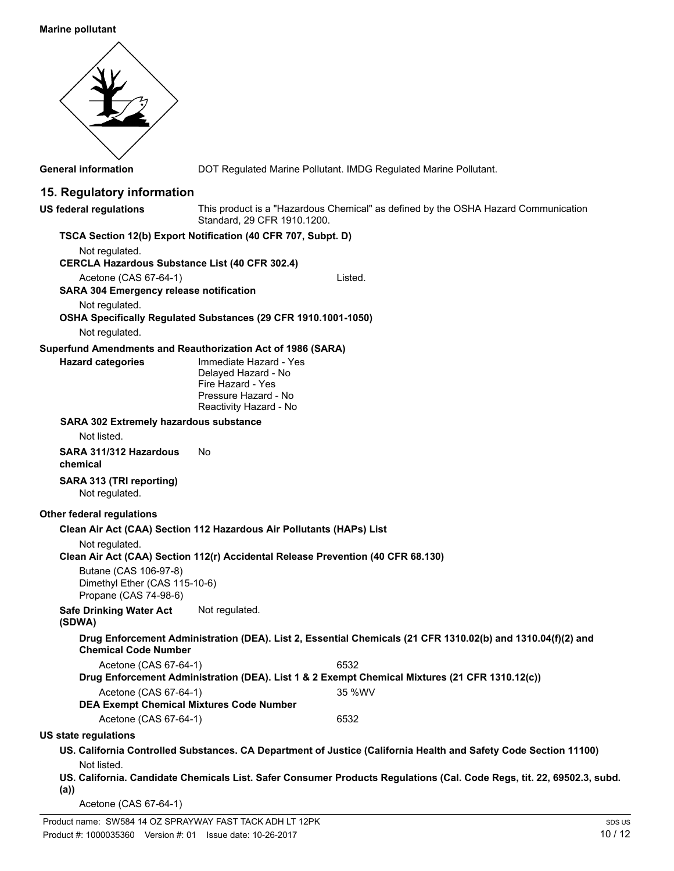#### **Marine pollutant**



**General information** DOT Regulated Marine Pollutant. IMDG Regulated Marine Pollutant.

## **15. Regulatory information**

This product is a "Hazardous Chemical" as defined by the OSHA Hazard Communication Standard, 29 CFR 1910.1200. **US federal regulations**

#### **TSCA Section 12(b) Export Notification (40 CFR 707, Subpt. D)** Not regulated. **CERCLA Hazardous Substance List (40 CFR 302.4)** Acetone (CAS 67-64-1) Listed. **SARA 304 Emergency release notification** Not regulated. **OSHA Specifically Regulated Substances (29 CFR 1910.1001-1050)** Not regulated. **Superfund Amendments and Reauthorization Act of 1986 (SARA)** Immediate Hazard - Yes Delayed Hazard - No Fire Hazard - Yes Pressure Hazard - No Reactivity Hazard - No **Hazard categories SARA 302 Extremely hazardous substance** Not listed. **SARA 311/312 Hazardous** No **chemical SARA 313 (TRI reporting)** Not regulated. **Other federal regulations Clean Air Act (CAA) Section 112 Hazardous Air Pollutants (HAPs) List** Not regulated. **Clean Air Act (CAA) Section 112(r) Accidental Release Prevention (40 CFR 68.130)** Butane (CAS 106-97-8) Dimethyl Ether (CAS 115-10-6) Propane (CAS 74-98-6) **Safe Drinking Water Act** Not regulated. **(SDWA) Drug Enforcement Administration (DEA). List 2, Essential Chemicals (21 CFR 1310.02(b) and 1310.04(f)(2) and Chemical Code Number** Acetone (CAS 67-64-1) 6532 **Drug Enforcement Administration (DEA). List 1 & 2 Exempt Chemical Mixtures (21 CFR 1310.12(c))** Acetone (CAS 67-64-1) 35 %WV **DEA Exempt Chemical Mixtures Code Number** Acetone (CAS 67-64-1) 6532 **US state regulations US. California Controlled Substances. CA Department of Justice (California Health and Safety Code Section 11100)** Not listed. **US. California. Candidate Chemicals List. Safer Consumer Products Regulations (Cal. Code Regs, tit. 22, 69502.3, subd.**

**(a))**

Acetone (CAS 67-64-1)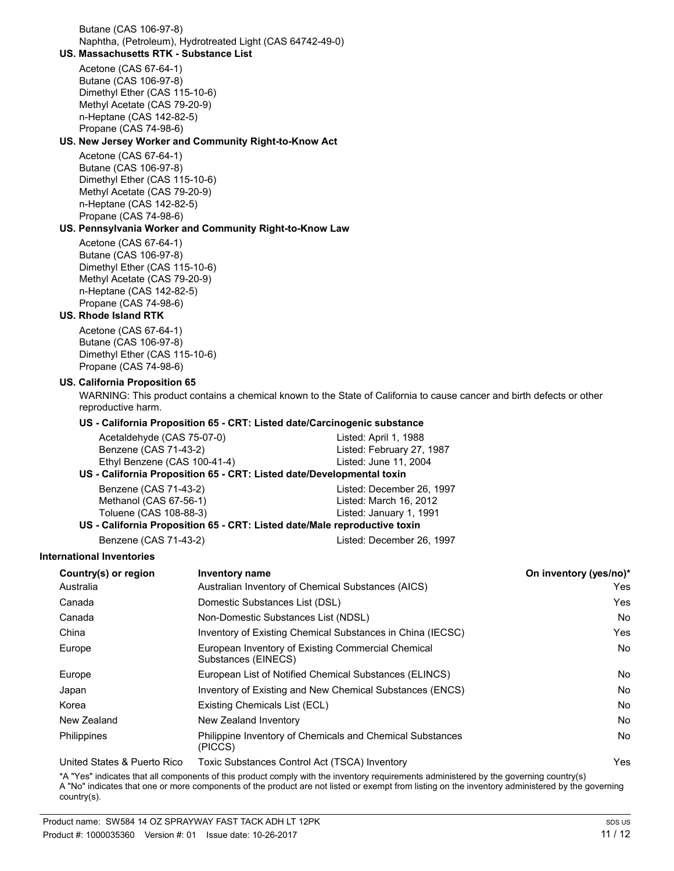Butane (CAS 106-97-8) Naphtha, (Petroleum), Hydrotreated Light (CAS 64742-49-0)

## **US. Massachusetts RTK - Substance List**

Acetone (CAS 67-64-1) Butane (CAS 106-97-8) Dimethyl Ether (CAS 115-10-6) Methyl Acetate (CAS 79-20-9) n-Heptane (CAS 142-82-5) Propane (CAS 74-98-6)

#### **US. New Jersey Worker and Community Right-to-Know Act**

Acetone (CAS 67-64-1) Butane (CAS 106-97-8) Dimethyl Ether (CAS 115-10-6) Methyl Acetate (CAS 79-20-9) n-Heptane (CAS 142-82-5) Propane (CAS 74-98-6)

## **US. Pennsylvania Worker and Community Right-to-Know Law**

Acetone (CAS 67-64-1) Butane (CAS 106-97-8) Dimethyl Ether (CAS 115-10-6) Methyl Acetate (CAS 79-20-9) n-Heptane (CAS 142-82-5) Propane (CAS 74-98-6)

#### **US. Rhode Island RTK**

Acetone (CAS 67-64-1) Butane (CAS 106-97-8) Dimethyl Ether (CAS 115-10-6) Propane (CAS 74-98-6)

#### **US. California Proposition 65**

WARNING: This product contains a chemical known to the State of California to cause cancer and birth defects or other reproductive harm.

#### **US - California Proposition 65 - CRT: Listed date/Carcinogenic substance**

| Acetaldehyde (CAS 75-07-0)                                         | Listed: April 1, 1988     |  |
|--------------------------------------------------------------------|---------------------------|--|
| Benzene (CAS 71-43-2)                                              | Listed: February 27, 1987 |  |
| Ethyl Benzene (CAS 100-41-4)<br>Listed: June 11, 2004              |                           |  |
| - California Proposition 65 - CPT: Listed date/Developmental toxin |                           |  |

## **US - California Proposition 65 - CRT: Listed date/Developmental toxin**

| Benzene (CAS 71-43-2)                                                     | Listed: December 26, 1997 |  |
|---------------------------------------------------------------------------|---------------------------|--|
| Methanol (CAS 67-56-1)                                                    | Listed: March 16, 2012    |  |
| Toluene (CAS 108-88-3)                                                    | Listed: January 1, 1991   |  |
| US - California Proposition 65 - CRT: Listed date/Male reproductive toxin |                           |  |

Benzene (CAS 71-43-2) Listed: December 26, 1997

## **International Inventories**

| Country(s) or region        | <b>Inventory name</b>                                                     | On inventory (yes/no)* |
|-----------------------------|---------------------------------------------------------------------------|------------------------|
| Australia                   | Australian Inventory of Chemical Substances (AICS)                        | Yes                    |
| Canada                      | Domestic Substances List (DSL)                                            | Yes                    |
| Canada                      | Non-Domestic Substances List (NDSL)                                       | N <sub>o</sub>         |
| China                       | Inventory of Existing Chemical Substances in China (IECSC)                | Yes                    |
| Europe                      | European Inventory of Existing Commercial Chemical<br>Substances (EINECS) | <b>No</b>              |
| Europe                      | European List of Notified Chemical Substances (ELINCS)                    | No.                    |
| Japan                       | Inventory of Existing and New Chemical Substances (ENCS)                  | No.                    |
| Korea                       | Existing Chemicals List (ECL)                                             | No.                    |
| New Zealand                 | New Zealand Inventory                                                     | No.                    |
| Philippines                 | Philippine Inventory of Chemicals and Chemical Substances<br>(PICCS)      | <b>No</b>              |
| Hoited States & Duerto Dico | Toxic Substances Control Act (TSCA) Inventory                             | Voc                    |

United States & Puerto Rico Toxic Substances Control Act (TSCA) Inventory Yes

\*A "Yes" indicates that all components of this product comply with the inventory requirements administered by the governing country(s) A "No" indicates that one or more components of the product are not listed or exempt from listing on the inventory administered by the governing country(s).